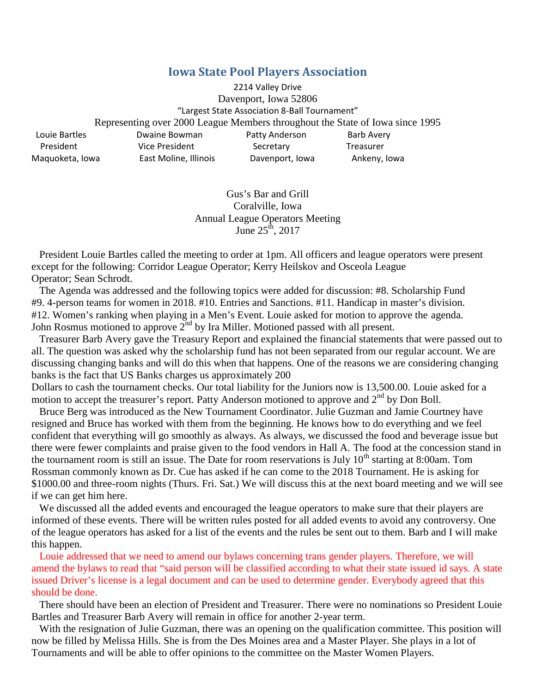## **Iowa State Pool Players Association**

2214 Valley Drive Davenport, Iowa 52806 "Largest State Association 8-Ball Tournament" Representing over 2000 League Members throughout the State of Iowa since 1995 Louie Bartles **Dwaine Bowman** Patty Anderson Barb Avery President Vice President Secretary Treasurer Maquoketa, Iowa East Moline, Illinois Davenport, Iowa Ankeny, Iowa

> Gus's Bar and Grill Coralville, Iowa Annual League Operators Meeting June  $25^{\text{th}}$ , 2017

President Louie Bartles called the meeting to order at 1pm. All officers and league operators were present except for the following: Corridor League Operator; Kerry Heilskov and Osceola League Operator; Sean Schrodt.

The Agenda was addressed and the following topics were added for discussion: #8. Scholarship Fund #9. 4-person teams for women in 2018. #10. Entries and Sanctions. #11. Handicap in master's division. #12. Women's ranking when playing in a Men's Event. Louie asked for motion to approve the agenda. John Rosmus motioned to approve 2<sup>nd</sup> by Ira Miller. Motioned passed with all present.

Treasurer Barb Avery gave the Treasury Report and explained the financial statements that were passed out to all. The question was asked why the scholarship fund has not been separated from our regular account. We are discussing changing banks and will do this when that happens. One of the reasons we are considering changing banks is the fact that US Banks charges us approximately 200

Dollars to cash the tournament checks. Our total liability for the Juniors now is 13,500.00. Louie asked for a motion to accept the treasurer's report. Patty Anderson motioned to approve and  $2<sup>nd</sup>$  by Don Boll.

Bruce Berg was introduced as the New Tournament Coordinator. Julie Guzman and Jamie Courtney have resigned and Bruce has worked with them from the beginning. He knows how to do everything and we feel confident that everything will go smoothly as always. As always, we discussed the food and beverage issue but there were fewer complaints and praise given to the food vendors in Hall A. The food at the concession stand in the tournament room is still an issue. The Date for room reservations is July  $10^{th}$  starting at 8:00am. Tom Rossman commonly known as Dr. Cue has asked if he can come to the 2018 Tournament. He is asking for \$1000.00 and three-room nights (Thurs. Fri. Sat.) We will discuss this at the next board meeting and we will see if we can get him here.

We discussed all the added events and encouraged the league operators to make sure that their players are informed of these events. There will be written rules posted for all added events to avoid any controversy. One of the league operators has asked for a list of the events and the rules be sent out to them. Barb and I will make this happen.

Louie addressed that we need to amend our bylaws concerning trans gender players. Therefore, we will amend the bylaws to read that "said person will be classified according to what their state issued id says. A state issued Driver's license is a legal document and can be used to determine gender. Everybody agreed that this should be done.

There should have been an election of President and Treasurer. There were no nominations so President Louie Bartles and Treasurer Barb Avery will remain in office for another 2-year term.

With the resignation of Julie Guzman, there was an opening on the qualification committee. This position will now be filled by Melissa Hills. She is from the Des Moines area and a Master Player. She plays in a lot of Tournaments and will be able to offer opinions to the committee on the Master Women Players.